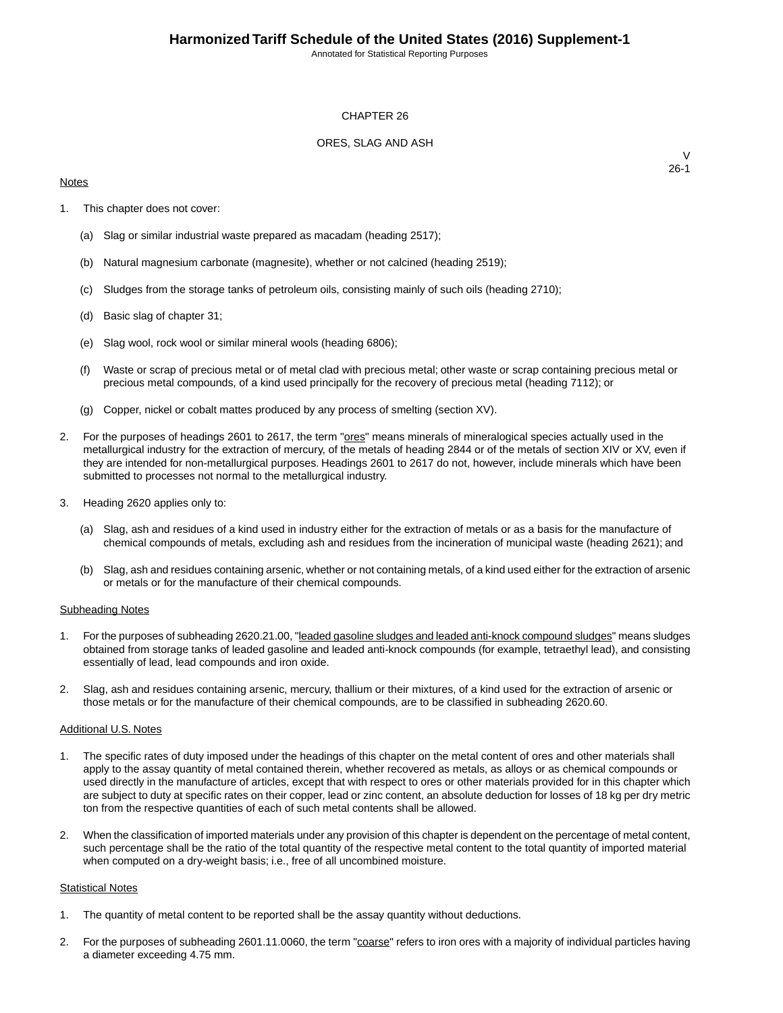Annotated for Statistical Reporting Purposes

### CHAPTER 26

### ORES, SLAG AND ASH

### **Notes**

 $\vee$ 26-1

- 1. This chapter does not cover:
	- (a) Slag or similar industrial waste prepared as macadam (heading 2517);
	- (b) Natural magnesium carbonate (magnesite), whether or not calcined (heading 2519);
	- (c) Sludges from the storage tanks of petroleum oils, consisting mainly of such oils (heading 2710);
	- (d) Basic slag of chapter 31;
	- (e) Slag wool, rock wool or similar mineral wools (heading 6806);
	- (f) Waste or scrap of precious metal or of metal clad with precious metal; other waste or scrap containing precious metal or precious metal compounds, of a kind used principally for the recovery of precious metal (heading 7112); or
	- (g) Copper, nickel or cobalt mattes produced by any process of smelting (section XV).
- 2. For the purposes of headings 2601 to 2617, the term "**ores"** means minerals of mineralogical species actually used in the metallurgical industry for the extraction of mercury, of the metals of heading 2844 or of the metals of section XIV or XV, even if they are intended for non-metallurgical purposes. Headings 2601 to 2617 do not, however, include minerals which have been submitted to processes not normal to the metallurgical industry.
- 3. Heading 2620 applies only to:
	- (a) Slag, ash and residues of a kind used in industry either for the extraction of metals or as a basis for the manufacture of chemical compounds of metals, excluding ash and residues from the incineration of municipal waste (heading 2621); and
	- (b) Slag, ash and residues containing arsenic, whether or not containing metals, of a kind used either for the extraction of arsenic or metals or for the manufacture of their chemical compounds.

#### Subheading Notes

- 1. For the purposes of subheading 2620.21.00, "leaded gasoline sludges and leaded anti-knock compound sludges" means sludges obtained from storage tanks of leaded gasoline and leaded anti-knock compounds (for example, tetraethyl lead), and consisting essentially of lead, lead compounds and iron oxide.
- 2. Slag, ash and residues containing arsenic, mercury, thallium or their mixtures, of a kind used for the extraction of arsenic or those metals or for the manufacture of their chemical compounds, are to be classified in subheading 2620.60.

#### Additional U.S. Notes

- 1. The specific rates of duty imposed under the headings of this chapter on the metal content of ores and other materials shall apply to the assay quantity of metal contained therein, whether recovered as metals, as alloys or as chemical compounds or used directly in the manufacture of articles, except that with respect to ores or other materials provided for in this chapter which are subject to duty at specific rates on their copper, lead or zinc content, an absolute deduction for losses of 18 kg per dry metric ton from the respective quantities of each of such metal contents shall be allowed.
- 2. When the classification of imported materials under any provision of this chapter is dependent on the percentage of metal content, such percentage shall be the ratio of the total quantity of the respective metal content to the total quantity of imported material when computed on a dry-weight basis; i.e., free of all uncombined moisture.

#### **Statistical Notes**

- 1. The quantity of metal content to be reported shall be the assay quantity without deductions.
- 2. For the purposes of subheading 2601.11.0060, the term "coarse" refers to iron ores with a majority of individual particles having a diameter exceeding 4.75 mm.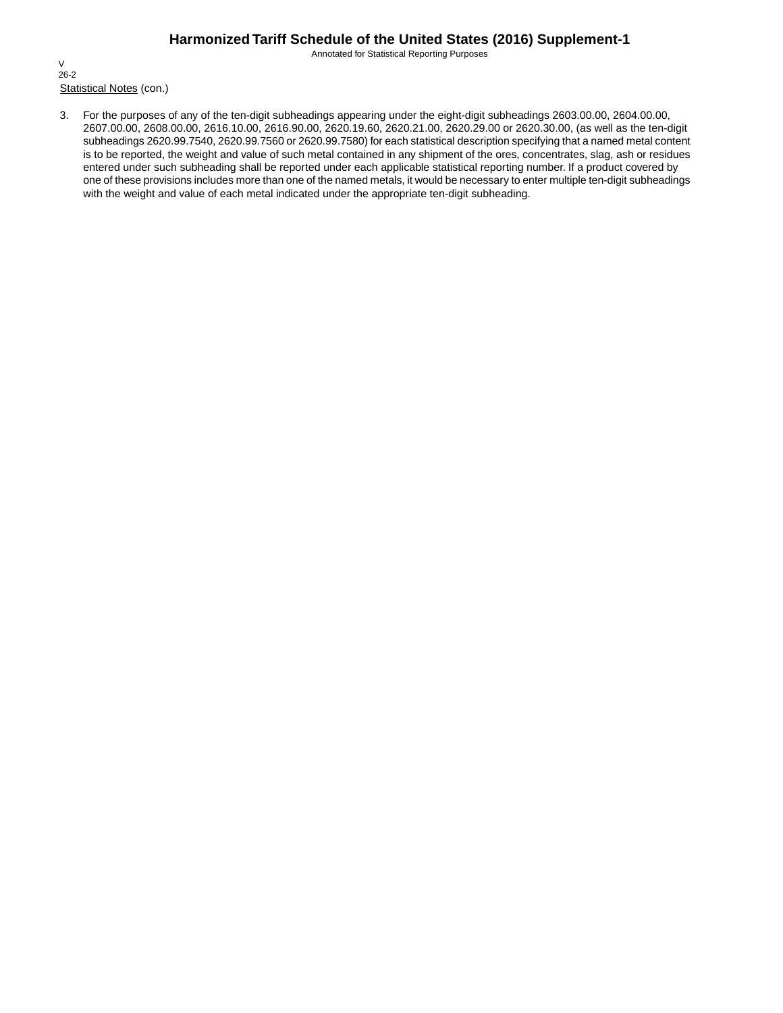Annotated for Statistical Reporting Purposes

Statistical Notes (con.) V 26-2

3. For the purposes of any of the ten-digit subheadings appearing under the eight-digit subheadings 2603.00.00, 2604.00.00, 2607.00.00, 2608.00.00, 2616.10.00, 2616.90.00, 2620.19.60, 2620.21.00, 2620.29.00 or 2620.30.00, (as well as the ten-digit subheadings 2620.99.7540, 2620.99.7560 or 2620.99.7580) for each statistical description specifying that a named metal content is to be reported, the weight and value of such metal contained in any shipment of the ores, concentrates, slag, ash or residues entered under such subheading shall be reported under each applicable statistical reporting number. If a product covered by one of these provisions includes more than one of the named metals, it would be necessary to enter multiple ten-digit subheadings with the weight and value of each metal indicated under the appropriate ten-digit subheading.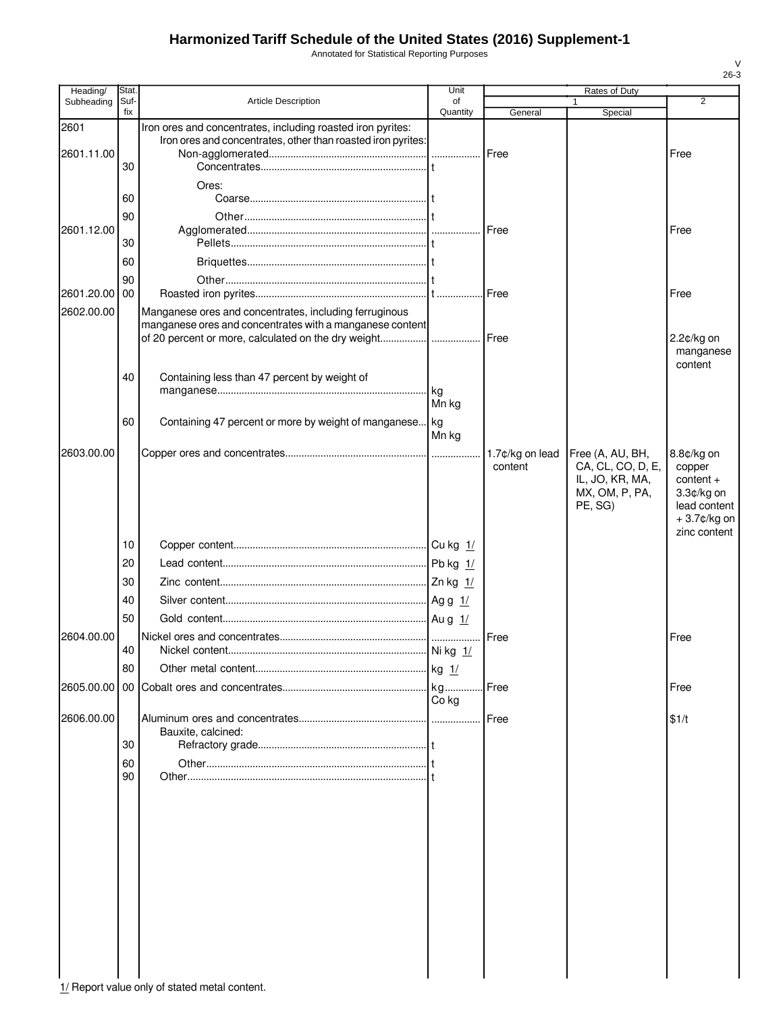Annotated for Statistical Reporting Purposes

| Heading/           | Stat.          |                                                                                                                             | Unit            |                            | Rates of Duty                                                                         |                                                                                                  |
|--------------------|----------------|-----------------------------------------------------------------------------------------------------------------------------|-----------------|----------------------------|---------------------------------------------------------------------------------------|--------------------------------------------------------------------------------------------------|
| Subheading         | Suf-<br>fix    | <b>Article Description</b>                                                                                                  | of<br>Quantity  |                            |                                                                                       | 2                                                                                                |
| 2601<br>2601.11.00 |                | Iron ores and concentrates, including roasted iron pyrites:<br>Iron ores and concentrates, other than roasted iron pyrites: |                 | General<br>Free            | Special                                                                               | Free                                                                                             |
|                    | 30<br>60<br>90 | Ores:                                                                                                                       |                 |                            |                                                                                       |                                                                                                  |
| 2601.12.00         | 30<br>60       |                                                                                                                             |                 | Free                       |                                                                                       | Free                                                                                             |
| 2601.20.00 00      | 90             |                                                                                                                             |                 |                            |                                                                                       | Free                                                                                             |
| 2602.00.00         |                | Manganese ores and concentrates, including ferruginous<br>manganese ores and concentrates with a manganese content          |                 |                            |                                                                                       | 2.2¢/kg on                                                                                       |
|                    | 40             | Containing less than 47 percent by weight of                                                                                |                 |                            |                                                                                       | manganese<br>content                                                                             |
|                    | 60             | Containing 47 percent or more by weight of manganese kg                                                                     | Mn kg<br>Mn kg  |                            |                                                                                       |                                                                                                  |
| 2603.00.00         |                |                                                                                                                             |                 | 1.7¢/kg on lead<br>content | Free (A, AU, BH,<br>CA, CL, CO, D, E,<br>IL, JO, KR, MA,<br>MX, OM, P, PA,<br>PE, SG) | 8.8¢/kg on<br>copper<br>$content +$<br>3.3¢/kg on<br>lead content<br>+3.7¢/kg on<br>zinc content |
|                    | 10             |                                                                                                                             |                 |                            |                                                                                       |                                                                                                  |
|                    | 20             |                                                                                                                             |                 |                            |                                                                                       |                                                                                                  |
|                    | 30             |                                                                                                                             |                 |                            |                                                                                       |                                                                                                  |
|                    | 40             |                                                                                                                             |                 |                            |                                                                                       |                                                                                                  |
|                    | 50             |                                                                                                                             |                 |                            |                                                                                       |                                                                                                  |
| 2604.00.00         |                |                                                                                                                             |                 | Free                       |                                                                                       | Free                                                                                             |
|                    | 40<br>80       |                                                                                                                             | kg <sub>1</sub> |                            |                                                                                       |                                                                                                  |
| 2605.00.00         |                |                                                                                                                             | kg              | Free                       |                                                                                       | Free                                                                                             |
|                    |                |                                                                                                                             | Co ka           |                            |                                                                                       |                                                                                                  |
| 2606.00.00         | 30             | Bauxite, calcined:                                                                                                          |                 | Free                       |                                                                                       | \$1/t                                                                                            |
|                    | 60             |                                                                                                                             |                 |                            |                                                                                       |                                                                                                  |
|                    | 90             |                                                                                                                             |                 |                            |                                                                                       |                                                                                                  |
|                    |                |                                                                                                                             |                 |                            |                                                                                       |                                                                                                  |
|                    |                |                                                                                                                             |                 |                            |                                                                                       |                                                                                                  |
|                    |                |                                                                                                                             |                 |                            |                                                                                       |                                                                                                  |
|                    |                |                                                                                                                             |                 |                            |                                                                                       |                                                                                                  |
|                    |                |                                                                                                                             |                 |                            |                                                                                       |                                                                                                  |
|                    |                |                                                                                                                             |                 |                            |                                                                                       |                                                                                                  |
|                    |                |                                                                                                                             |                 |                            |                                                                                       |                                                                                                  |

V 26-3

1/ Report value only of stated metal content.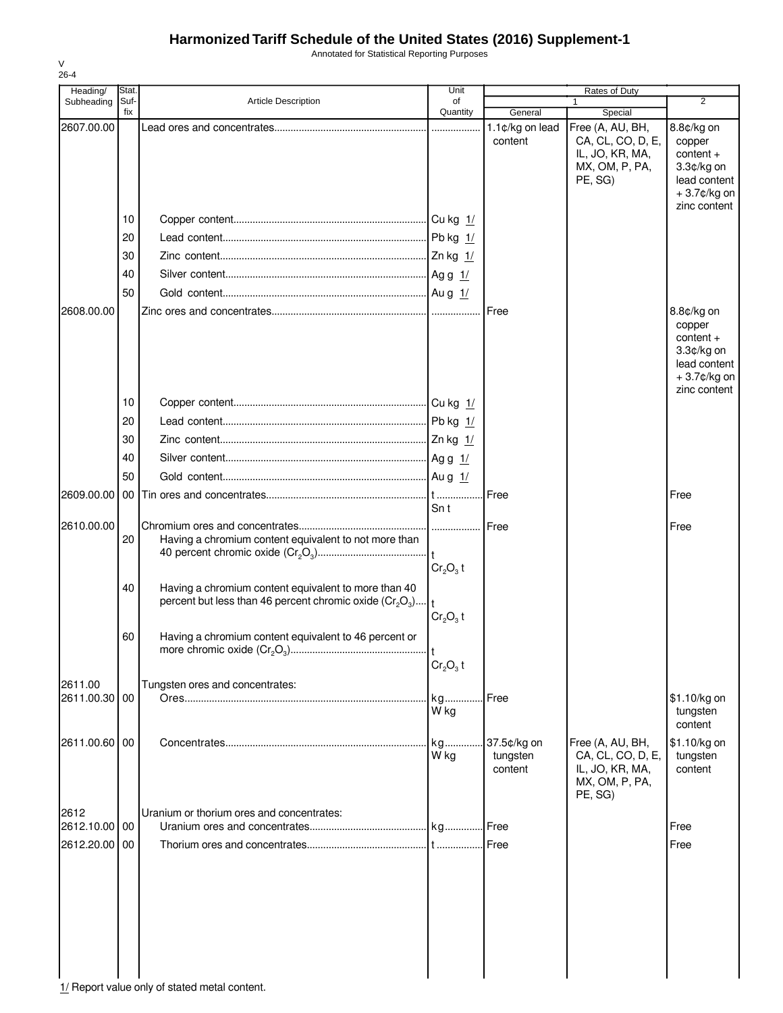Annotated for Statistical Reporting Purposes

| ۰. |
|----|

| Heading/      | Stat. |                                                              | Unit                             |                 | Rates of Duty     |                |
|---------------|-------|--------------------------------------------------------------|----------------------------------|-----------------|-------------------|----------------|
| Subheading    | Suf-  | <b>Article Description</b>                                   | of                               |                 |                   | $\overline{2}$ |
|               | fix   |                                                              | Quantity                         | General         | Special           |                |
| 2607.00.00    |       |                                                              |                                  | 1.1¢/kg on lead | Free (A, AU, BH,  | 8.8¢/kg on     |
|               |       |                                                              |                                  | content         | CA, CL, CO, D, E, | copper         |
|               |       |                                                              |                                  |                 | IL, JO, KR, MA,   | $content +$    |
|               |       |                                                              |                                  |                 | MX, OM, P, PA,    | 3.3¢/kg on     |
|               |       |                                                              |                                  |                 | PE, SG)           | lead content   |
|               |       |                                                              |                                  |                 |                   | +3.7¢/kg on    |
|               |       |                                                              |                                  |                 |                   | zinc content   |
|               | 10    |                                                              |                                  |                 |                   |                |
|               | 20    |                                                              |                                  |                 |                   |                |
|               | 30    |                                                              |                                  |                 |                   |                |
|               |       |                                                              |                                  |                 |                   |                |
|               | 40    |                                                              |                                  |                 |                   |                |
|               | 50    |                                                              |                                  |                 |                   |                |
| 2608.00.00    |       |                                                              |                                  | Free            |                   | 8.8¢/kg on     |
|               |       |                                                              |                                  |                 |                   | copper         |
|               |       |                                                              |                                  |                 |                   | $content +$    |
|               |       |                                                              |                                  |                 |                   | 3.3¢/kg on     |
|               |       |                                                              |                                  |                 |                   | lead content   |
|               |       |                                                              |                                  |                 |                   | $+3.7$ ¢/kg on |
|               |       |                                                              |                                  |                 |                   | zinc content   |
|               | 10    |                                                              |                                  |                 |                   |                |
|               | 20    |                                                              |                                  |                 |                   |                |
|               |       |                                                              |                                  |                 |                   |                |
|               | 30    |                                                              |                                  |                 |                   |                |
|               | 40    |                                                              |                                  |                 |                   |                |
|               | 50    |                                                              |                                  |                 |                   |                |
|               |       |                                                              |                                  |                 |                   |                |
| 2609.00.00    | 00    |                                                              |                                  | Free            |                   | Free           |
|               |       |                                                              | Sn t                             |                 |                   |                |
| 2610.00.00    |       |                                                              |                                  | Free            |                   | Free           |
|               | 20    | Having a chromium content equivalent to not more than        |                                  |                 |                   |                |
|               |       |                                                              |                                  |                 |                   |                |
|               |       |                                                              | Cr <sub>2</sub> O <sub>3</sub> t |                 |                   |                |
|               |       |                                                              |                                  |                 |                   |                |
|               | 40    | Having a chromium content equivalent to more than 40         |                                  |                 |                   |                |
|               |       | percent but less than 46 percent chromic oxide $(Cr_2O_3)$ t |                                  |                 |                   |                |
|               |       |                                                              | $Cr_2O_3$ t                      |                 |                   |                |
|               | 60    | Having a chromium content equivalent to 46 percent or        |                                  |                 |                   |                |
|               |       |                                                              |                                  |                 |                   |                |
|               |       |                                                              | $Cr_2O_3$ t                      |                 |                   |                |
|               |       |                                                              |                                  |                 |                   |                |
| 2611.00       |       | Tungsten ores and concentrates:                              |                                  |                 |                   |                |
| 2611.00.30 00 |       |                                                              | kg                               | Free            |                   | \$1.10/kg on   |
|               |       |                                                              | W kg                             |                 |                   | tungsten       |
|               |       |                                                              |                                  |                 |                   | content        |
| 2611.00.60 00 |       |                                                              | kg                               | 37.5¢/kg on     | Free (A, AU, BH,  | \$1.10/kg on   |
|               |       |                                                              | W kg                             | tungsten        | CA, CL, CO, D, E, | tungsten       |
|               |       |                                                              |                                  | content         | IL, JO, KR, MA,   | content        |
|               |       |                                                              |                                  |                 | MX, OM, P, PA,    |                |
|               |       |                                                              |                                  |                 | PE, SG)           |                |
| 2612          |       | Uranium or thorium ores and concentrates:                    |                                  |                 |                   |                |
| 2612.10.00 00 |       |                                                              |                                  | Free            |                   | Free           |
| 2612.20.00    | 00    |                                                              |                                  | Free            |                   | Free           |
|               |       |                                                              |                                  |                 |                   |                |
|               |       |                                                              |                                  |                 |                   |                |
|               |       |                                                              |                                  |                 |                   |                |
|               |       |                                                              |                                  |                 |                   |                |
|               |       |                                                              |                                  |                 |                   |                |
|               |       |                                                              |                                  |                 |                   |                |
|               |       |                                                              |                                  |                 |                   |                |
|               |       |                                                              |                                  |                 |                   |                |
|               |       |                                                              |                                  |                 |                   |                |
|               |       |                                                              |                                  |                 |                   |                |

1/ Report value only of stated metal content.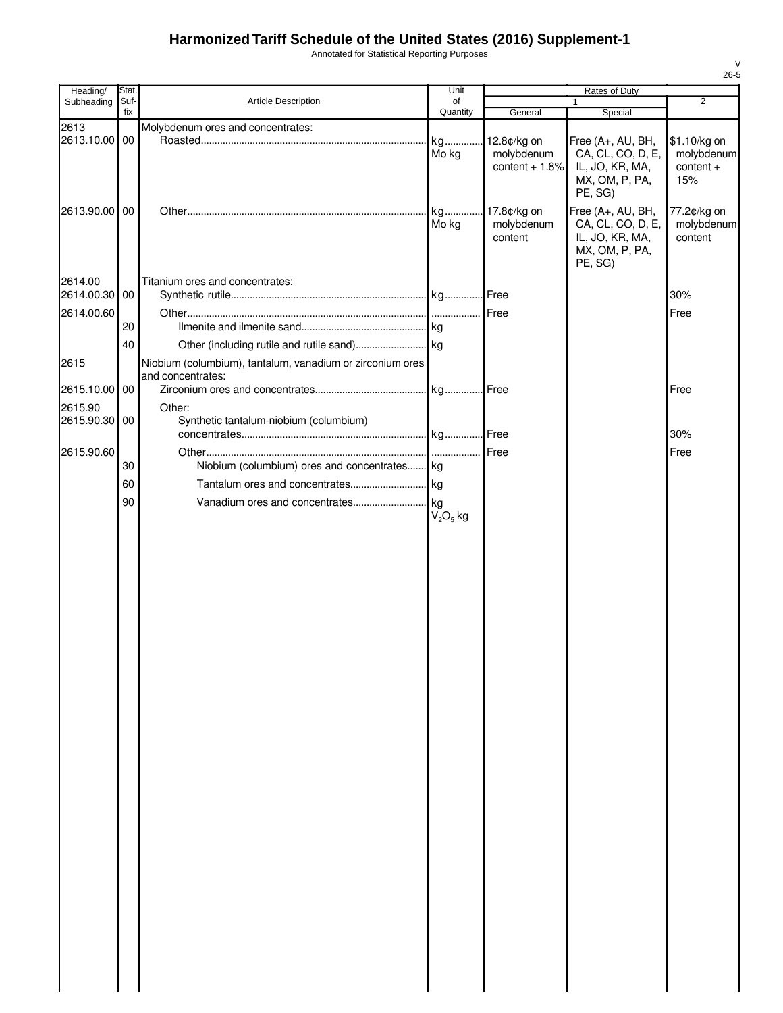Annotated for Statistical Reporting Purposes

| Heading/      | Stat.       |                                                           | Unit           | Rates of Duty   |                                   |                  |
|---------------|-------------|-----------------------------------------------------------|----------------|-----------------|-----------------------------------|------------------|
| Subheading    | Suf-<br>fix | Article Description                                       | of<br>Quantity | General         | $\mathbf{1}$<br>Special           | $\overline{2}$   |
| 2613          |             | Molybdenum ores and concentrates:                         |                |                 |                                   |                  |
| 2613.10.00 00 |             |                                                           | kg             | 12.8¢/kg on     | Free (A+, AU, BH,                 | \$1.10/kg on     |
|               |             |                                                           | Mo kg          | molybdenum      | CA, CL, CO, D, E,                 | molybdenum       |
|               |             |                                                           |                | content $+1.8%$ | IL, JO, KR, MA,<br>MX, OM, P, PA, | content +<br>15% |
|               |             |                                                           |                |                 | PE, SG)                           |                  |
| 2613.90.00 00 |             |                                                           | kg             | 17.8¢/kg on     | Free (A+, AU, BH,                 | 77.2¢/kg on      |
|               |             |                                                           | Mo kg          | molybdenum      | CA, CL, CO, D, E,                 | molybdenum       |
|               |             |                                                           |                | content         | IL, JO, KR, MA,                   | content          |
|               |             |                                                           |                |                 | MX, OM, P, PA,<br>PE, SG)         |                  |
| 2614.00       |             | Titanium ores and concentrates:                           |                |                 |                                   |                  |
| 2614.00.30 00 |             |                                                           |                |                 |                                   | 30%              |
| 2614.00.60    |             |                                                           |                | Free            |                                   | Free             |
|               | 20          |                                                           |                |                 |                                   |                  |
|               | 40          |                                                           |                |                 |                                   |                  |
| 2615          |             | Niobium (columbium), tantalum, vanadium or zirconium ores |                |                 |                                   |                  |
|               |             | and concentrates:                                         |                |                 |                                   |                  |
| 2615.10.00 00 |             |                                                           |                |                 |                                   | Free             |
| 2615.90       |             | Other:                                                    |                |                 |                                   |                  |
| 2615.90.30 00 |             | Synthetic tantalum-niobium (columbium)                    |                |                 |                                   |                  |
|               |             |                                                           |                |                 |                                   | 30%              |
| 2615.90.60    |             |                                                           |                | Free            |                                   | Free             |
|               | 30          | Niobium (columbium) ores and concentrates kg              |                |                 |                                   |                  |
|               | 60          |                                                           |                |                 |                                   |                  |
|               | 90          |                                                           |                |                 |                                   |                  |
|               |             |                                                           | $V_2O_5$ kg    |                 |                                   |                  |
|               |             |                                                           |                |                 |                                   |                  |
|               |             |                                                           |                |                 |                                   |                  |
|               |             |                                                           |                |                 |                                   |                  |
|               |             |                                                           |                |                 |                                   |                  |
|               |             |                                                           |                |                 |                                   |                  |
|               |             |                                                           |                |                 |                                   |                  |
|               |             |                                                           |                |                 |                                   |                  |
|               |             |                                                           |                |                 |                                   |                  |
|               |             |                                                           |                |                 |                                   |                  |
|               |             |                                                           |                |                 |                                   |                  |
|               |             |                                                           |                |                 |                                   |                  |
|               |             |                                                           |                |                 |                                   |                  |
|               |             |                                                           |                |                 |                                   |                  |
|               |             |                                                           |                |                 |                                   |                  |
|               |             |                                                           |                |                 |                                   |                  |
|               |             |                                                           |                |                 |                                   |                  |
|               |             |                                                           |                |                 |                                   |                  |
|               |             |                                                           |                |                 |                                   |                  |
|               |             |                                                           |                |                 |                                   |                  |
|               |             |                                                           |                |                 |                                   |                  |
|               |             |                                                           |                |                 |                                   |                  |
|               |             |                                                           |                |                 |                                   |                  |
|               |             |                                                           |                |                 |                                   |                  |
|               |             |                                                           |                |                 |                                   |                  |
|               |             |                                                           |                |                 |                                   |                  |
|               |             |                                                           |                |                 |                                   |                  |
|               |             |                                                           |                |                 |                                   |                  |
|               |             |                                                           |                |                 |                                   |                  |
|               |             |                                                           |                |                 |                                   |                  |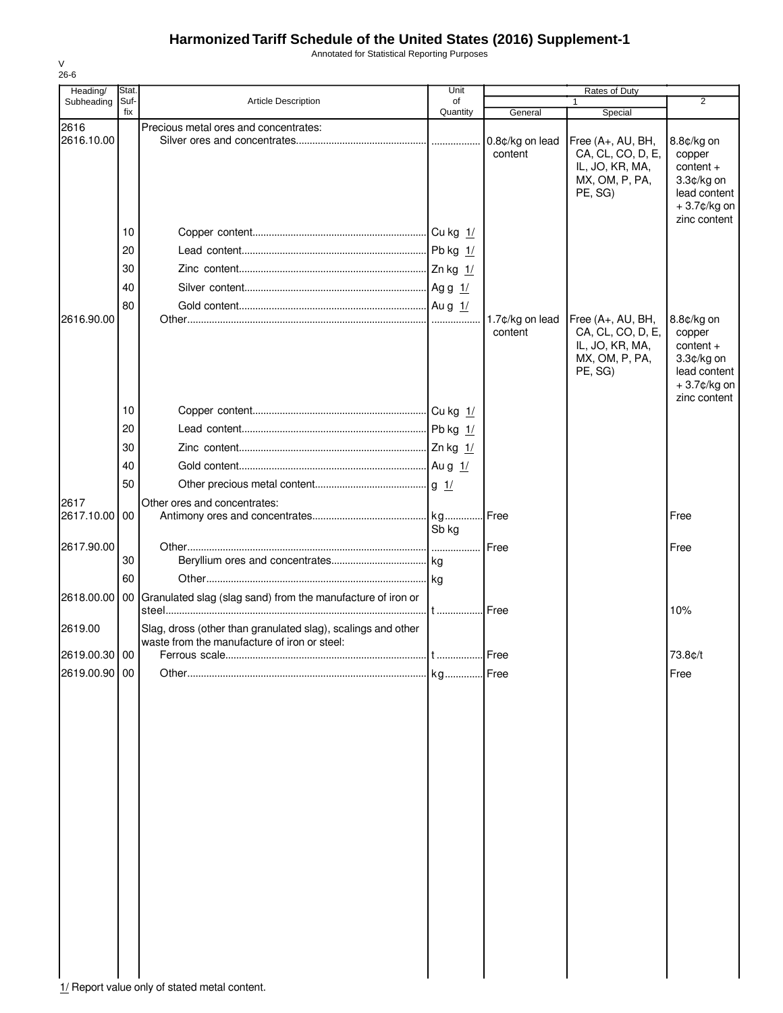Annotated for Statistical Reporting Purposes

| Heading/           | Stat.       |                                                                                                              | Unit           | Rates of Duty              |                                                                                        |                                                                                                     |
|--------------------|-------------|--------------------------------------------------------------------------------------------------------------|----------------|----------------------------|----------------------------------------------------------------------------------------|-----------------------------------------------------------------------------------------------------|
| Subheading         | Suf-<br>fix | <b>Article Description</b>                                                                                   | of<br>Quantity | General                    | 1<br>Special                                                                           | $\overline{2}$                                                                                      |
| 2616<br>2616.10.00 |             | Precious metal ores and concentrates:                                                                        |                | 0.8¢/kg on lead<br>content | Free (A+, AU, BH,<br>CA, CL, CO, D, E,<br>IL, JO, KR, MA,<br>MX, OM, P, PA,<br>PE, SG) | 8.8¢/kg on<br>copper<br>$content +$<br>3.3¢/kg on<br>lead content<br>+3.7¢/kg on<br>zinc content    |
|                    | 10          |                                                                                                              |                |                            |                                                                                        |                                                                                                     |
|                    | 20          |                                                                                                              |                |                            |                                                                                        |                                                                                                     |
|                    | 30          |                                                                                                              |                |                            |                                                                                        |                                                                                                     |
|                    | 40          |                                                                                                              |                |                            |                                                                                        |                                                                                                     |
|                    | 80          |                                                                                                              |                |                            |                                                                                        |                                                                                                     |
| 2616.90.00         |             |                                                                                                              |                | 1.7¢/kg on lead<br>content | Free (A+, AU, BH,<br>CA, CL, CO, D, E,<br>IL, JO, KR, MA,<br>MX, OM, P, PA,<br>PE, SG) | 8.8¢/kg on<br>copper<br>$content +$<br>3.3¢/kg on<br>lead content<br>$+3.7$ ¢/kg on<br>zinc content |
|                    | 10          |                                                                                                              |                |                            |                                                                                        |                                                                                                     |
|                    | 20          |                                                                                                              |                |                            |                                                                                        |                                                                                                     |
|                    | 30          |                                                                                                              |                |                            |                                                                                        |                                                                                                     |
|                    | 40          |                                                                                                              |                |                            |                                                                                        |                                                                                                     |
|                    | 50          |                                                                                                              |                |                            |                                                                                        |                                                                                                     |
| 2617               |             | Other ores and concentrates:                                                                                 |                |                            |                                                                                        |                                                                                                     |
| 2617.10.00         | 00          |                                                                                                              | Sb kg          | l Free                     |                                                                                        | Free                                                                                                |
| 2617.90.00         |             |                                                                                                              |                | Free                       |                                                                                        | Free                                                                                                |
|                    | 30          |                                                                                                              |                |                            |                                                                                        |                                                                                                     |
|                    | 60          |                                                                                                              |                |                            |                                                                                        |                                                                                                     |
| 2618.00.00         | 00 I        | Granulated slag (slag sand) from the manufacture of iron or                                                  | $\dots$        | Free                       |                                                                                        | 10%                                                                                                 |
| 2619.00            |             | Slag, dross (other than granulated slag), scalings and other<br>waste from the manufacture of iron or steel: |                |                            |                                                                                        |                                                                                                     |
| 2619.00.30 00      |             | Ferrous scale                                                                                                | Free           |                            |                                                                                        | 73.8¢/t                                                                                             |
| 2619.00.90 00      |             |                                                                                                              |                |                            |                                                                                        | Free                                                                                                |
|                    |             |                                                                                                              |                |                            |                                                                                        |                                                                                                     |

V 26-6

1/ Report value only of stated metal content.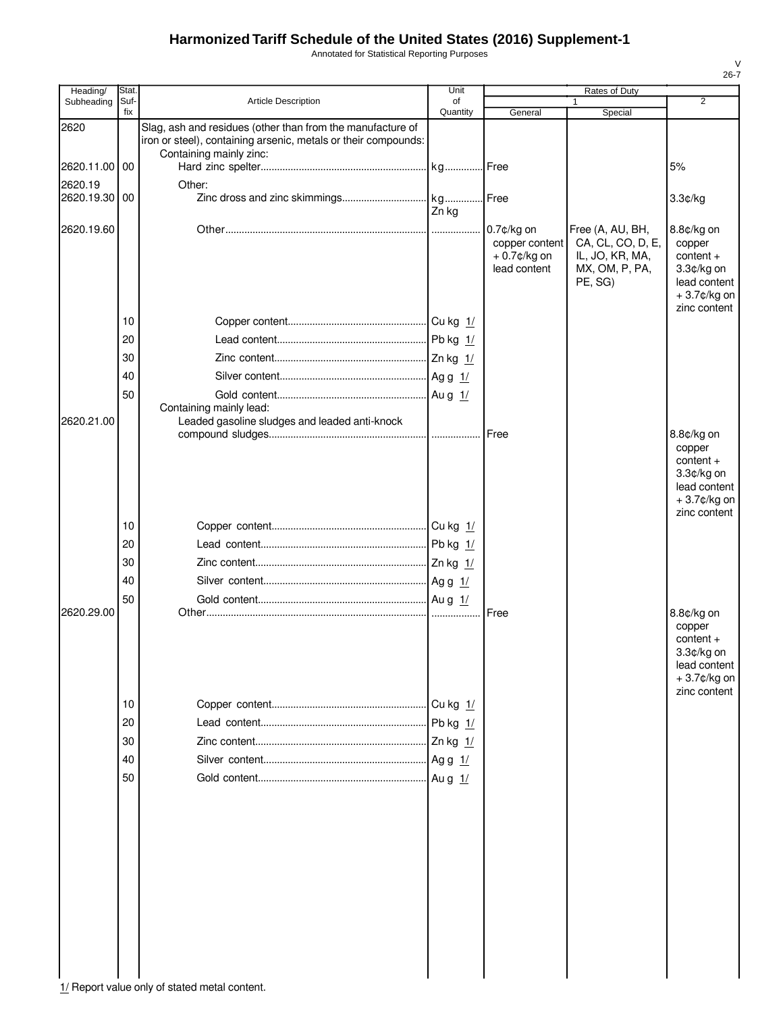Annotated for Statistical Reporting Purposes

| Heading/                 | Stat.       |                                                                                                                                                         | Unit           |                                                                   | Rates of Duty                                                                         |                                                                                                  |
|--------------------------|-------------|---------------------------------------------------------------------------------------------------------------------------------------------------------|----------------|-------------------------------------------------------------------|---------------------------------------------------------------------------------------|--------------------------------------------------------------------------------------------------|
| Subheading               | Suf-<br>fix | <b>Article Description</b>                                                                                                                              | of<br>Quantity | General                                                           | Special                                                                               | 2                                                                                                |
| 2620                     |             | Slag, ash and residues (other than from the manufacture of<br>iron or steel), containing arsenic, metals or their compounds:<br>Containing mainly zinc: |                |                                                                   |                                                                                       |                                                                                                  |
| 2620.11.00 00            |             |                                                                                                                                                         |                |                                                                   |                                                                                       | 5%                                                                                               |
| 2620.19<br>2620.19.30 00 |             | Other:                                                                                                                                                  | Zn kg          |                                                                   |                                                                                       | 3.3¢/kg                                                                                          |
| 2620.19.60               |             |                                                                                                                                                         |                | $0.7$ ¢/kg on<br>copper content<br>$+0.7$ ¢/kg on<br>lead content | Free (A, AU, BH,<br>CA, CL, CO, D, E,<br>IL, JO, KR, MA,<br>MX, OM, P, PA,<br>PE, SG) | 8.8¢/kg on<br>copper<br>$content +$<br>3.3¢/kg on<br>lead content<br>+3.7¢/kg on<br>zinc content |
|                          | 10          |                                                                                                                                                         |                |                                                                   |                                                                                       |                                                                                                  |
|                          | 20          |                                                                                                                                                         |                |                                                                   |                                                                                       |                                                                                                  |
|                          | 30          |                                                                                                                                                         |                |                                                                   |                                                                                       |                                                                                                  |
|                          | 40          |                                                                                                                                                         |                |                                                                   |                                                                                       |                                                                                                  |
|                          | 50          | Containing mainly lead:                                                                                                                                 |                |                                                                   |                                                                                       |                                                                                                  |
| 2620.21.00               |             | Leaded gasoline sludges and leaded anti-knock                                                                                                           |                |                                                                   |                                                                                       | 8.8¢/kg on<br>copper<br>$content +$<br>$3.3¢/kg$ on<br>lead content<br>+3.7¢/kg on               |
|                          | 10          |                                                                                                                                                         |                |                                                                   |                                                                                       | zinc content                                                                                     |
|                          | 20          |                                                                                                                                                         |                |                                                                   |                                                                                       |                                                                                                  |
|                          | 30          |                                                                                                                                                         |                |                                                                   |                                                                                       |                                                                                                  |
|                          | 40          |                                                                                                                                                         |                |                                                                   |                                                                                       |                                                                                                  |
|                          | 50          |                                                                                                                                                         |                |                                                                   |                                                                                       |                                                                                                  |
| 2620.29.00               | 10          |                                                                                                                                                         |                | Free                                                              |                                                                                       | 8.8¢/kg on<br>copper<br>$content +$<br>3.3¢/kg on<br>lead content<br>+3.7¢/kg on<br>zinc content |
|                          | 20          |                                                                                                                                                         |                |                                                                   |                                                                                       |                                                                                                  |
|                          | 30          |                                                                                                                                                         |                |                                                                   |                                                                                       |                                                                                                  |
|                          | 40          |                                                                                                                                                         |                |                                                                   |                                                                                       |                                                                                                  |
|                          | 50          |                                                                                                                                                         |                |                                                                   |                                                                                       |                                                                                                  |
|                          |             |                                                                                                                                                         |                |                                                                   |                                                                                       |                                                                                                  |

1/ Report value only of stated metal content.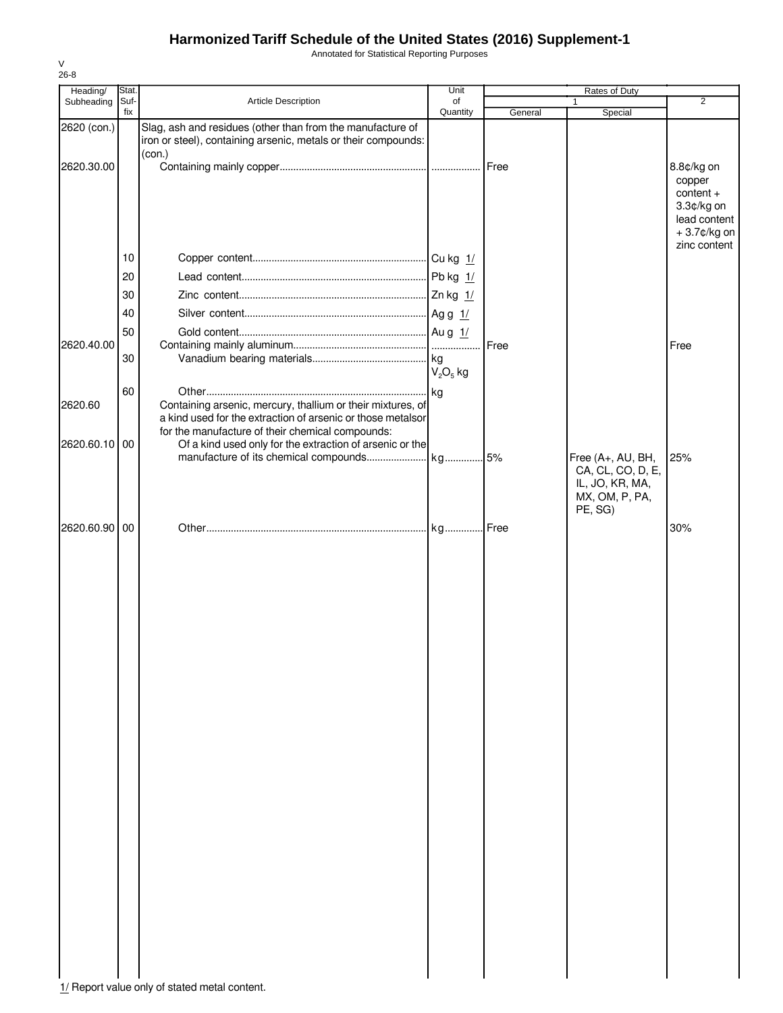Annotated for Statistical Reporting Purposes

| Heading/      | Stat.       |                                                                                                                                                                                | Unit           |         | Rates of Duty                                                                          |                                                                                  |
|---------------|-------------|--------------------------------------------------------------------------------------------------------------------------------------------------------------------------------|----------------|---------|----------------------------------------------------------------------------------------|----------------------------------------------------------------------------------|
| Subheading    | Suf-<br>fix | Article Description                                                                                                                                                            | of<br>Quantity | General | Special                                                                                | $\overline{2}$                                                                   |
| 2620 (con.)   |             | Slag, ash and residues (other than from the manufacture of<br>iron or steel), containing arsenic, metals or their compounds:                                                   |                |         |                                                                                        |                                                                                  |
| 2620.30.00    |             | (con.)                                                                                                                                                                         |                |         |                                                                                        | 8.8¢/kg on<br>copper<br>$content +$<br>3.3¢/kg on<br>lead content<br>+3.7¢/kg on |
|               | 10          |                                                                                                                                                                                |                |         |                                                                                        | zinc content                                                                     |
|               | 20          |                                                                                                                                                                                |                |         |                                                                                        |                                                                                  |
|               |             |                                                                                                                                                                                |                |         |                                                                                        |                                                                                  |
|               | 30<br>40    |                                                                                                                                                                                |                |         |                                                                                        |                                                                                  |
|               |             |                                                                                                                                                                                |                |         |                                                                                        |                                                                                  |
| 2620.40.00    | 50          |                                                                                                                                                                                |                | Free    |                                                                                        | Free                                                                             |
|               | 30          |                                                                                                                                                                                | $V2O5$ kg      |         |                                                                                        |                                                                                  |
| 2620.60       | 60          | Containing arsenic, mercury, thallium or their mixtures, of<br>a kind used for the extraction of arsenic or those metalsor<br>for the manufacture of their chemical compounds: |                |         |                                                                                        |                                                                                  |
| 2620.60.10 00 |             | Of a kind used only for the extraction of arsenic or the                                                                                                                       |                |         |                                                                                        |                                                                                  |
|               |             |                                                                                                                                                                                |                |         | Free (A+, AU, BH,<br>CA, CL, CO, D, E,<br>IL, JO, KR, MA,<br>MX, OM, P, PA,<br>PE, SG) | 25%                                                                              |
| 2620.60.90 00 |             |                                                                                                                                                                                |                |         |                                                                                        | 30%                                                                              |
|               |             | 1/ Report value only of stated metal content.                                                                                                                                  |                |         |                                                                                        |                                                                                  |